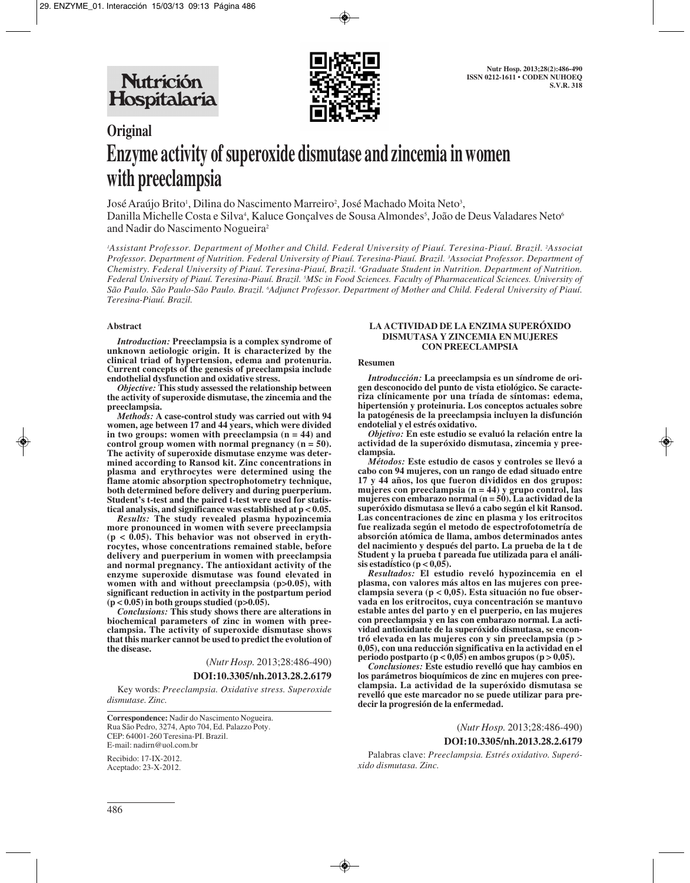

# **Original Enzyme activity of superoxide dismutase and zincemia in women with preeclampsia**

José Araújo Brito', Dilina do Nascimento Marreiro<sup>2</sup>, José Machado Moita Neto<sup>3</sup>, Danilla Michelle Costa e Silva<sup>4</sup>, Kaluce Gonçalves de Sousa Almondes<sup>s</sup>, João de Deus Valadares Neto<sup>6</sup> and Nadir do Nascimento Nogueira2

'Assistant Professor. Department of Mother and Child. Federal University of Piauí. Teresina-Piauí. Brazil. <sup>2</sup>Associat *Professor. Department of Nutrition. Federal University of Piauí. Teresina-Piauí. Brazil. 3 Associat Professor. Department of Chemistry. Federal University of Piauí. Teresina-Piauí, Brazil. 4 Graduate Student in Nutrition. Department of Nutrition. Federal University of Piauí. Teresina-Piauí. Brazil. 5 MSc in Food Sciences. Faculty of Pharmaceutical Sciences. University of São Paulo. São Paulo-São Paulo. Brazil. 6 Adjunct Professor. Department of Mother and Child. Federal University of Piauí. Teresina-Piauí. Brazil.*

#### **Abstract**

*Introduction:* **Preeclampsia is a complex syndrome of unknown aetiologic origin. It is characterized by the clinical triad of hypertension, edema and protenuria. Current concepts of the genesis of preeclampsia include endothelial dysfunction and oxidative stress.**

*Objective:* **This study assessed the relationship between the activity of superoxide dismutase, the zincemia and the preeclampsia.**

*Methods:* **A case-control study was carried out with 94 women, age between 17 and 44 years, which were divided in two groups: women with preeclampsia (n = 44) and control group women with normal pregnancy (n = 50). The activity of superoxide dismutase enzyme was determined according to Ransod kit. Zinc concentrations in plasma and erythrocytes were determined using the flame atomic absorption spectrophotometry technique, both determined before delivery and during puerperium. Student's t-test and the paired t-test were used for statistical analysis, and significance was established at p < 0.05.**

*Results:* **The study revealed plasma hypozincemia more pronounced in women with severe preeclampsia (p < 0.05). This behavior was not observed in erythrocytes, whose concentrations remained stable, before delivery and puerperium in women with preeclampsia and normal pregnancy. The antioxidant activity of the enzyme superoxide dismutase was found elevated in women with and without preeclampsia (p>0.05), with significant reduction in activity in the postpartum period**  $(p < 0.05)$  in both groups studied  $(p > 0.05)$ .

*Conclusions:* **This study shows there are alterations in biochemical parameters of zinc in women with preeclampsia. The activity of superoxide dismutase shows that this marker cannot be used to predict the evolution of the disease.**

> (*Nutr Hosp.* 2013;28:486-490) **DOI:10.3305/nh.2013.28.2.6179**

Key words: *Preeclampsia. Oxidative stress. Superoxide dismutase. Zinc.*

**Correspondence:** Nadir do Nascimento Nogueira. Rua São Pedro, 3274, Apto 704, Ed. Palazzo Poty. CEP: 64001-260 Teresina-PI. Brazil. E-mail: nadirn@uol.com.br

Recibido: 17-IX-2012. Aceptado: 23-X-2012.

#### **LA ACTIVIDAD DE LA ENZIMA SUPERÓXIDO DISMUTASA Y ZINCEMIA EN MUJERES CON PREECLAMPSIA**

## **Resumen**

*Introducción:* **La preeclampsia es un síndrome de origen desconocido del punto de vista etiológico. Se caracteriza clínicamente por una tríada de síntomas: edema, hipertensión y proteinuria. Los conceptos actuales sobre la patogénesis de la preeclampsia incluyen la disfunción endotelial y el estrés oxidativo.**

*Objetivo:* **En este estudio se evaluó la relación entre la actividad de la superóxido dismutasa, zincemia y preeclampsia.** 

*Métodos:* **Este estudio de casos y controles se llevó a cabo con 94 mujeres, con un rango de edad situado entre 17 y 44 años, los que fueron divididos en dos grupos: mujeres con preeclampsia (n = 44) y grupo control, las mujeres con embarazo normal (n = 50). La actividad de la superóxido dismutasa se llevó a cabo según el kit Ransod. Las concentraciones de zinc en plasma y los eritrocitos fue realizada según el metodo de espectrofotometría de absorción atómica de llama, ambos determinados antes del nacimiento y después del parto. La prueba de la t de Student y la prueba t pareada fue utilizada para el análisis estadístico (p < 0,05).** 

*Resultados:* **El estudio reveló hypozincemia en el plasma, con valores más altos en las mujeres con preeclampsia severa (p < 0,05). Esta situación no fue observada en los eritrocitos, cuya concentración se mantuvo estable antes del parto y en el puerperio, en las mujeres con preeclampsia y en las con embarazo normal. La actividad antioxidante de la superóxido dismutasa, se encontró elevada en las mujeres con y sin preeclampsia (p > 0,05), con una reducción significativa en la actividad en el periodo postparto (p < 0,05) en ambos grupos (p > 0,05).**

*Conclusiones:* **Este estudio revelló que hay cambios en los parámetros bioquímicos de zinc en mujeres con preeclampsia. La actividad de la superóxido dismutasa se revelló que este marcador no se puede utilizar para predecir la progresión de la enfermedad.**

> (*Nutr Hosp.* 2013;28:486-490) **DOI:10.3305/nh.2013.28.2.6179**

Palabras clave: *Preeclampsia. Estrés oxidativo. Superóxido dismutasa. Zinc.*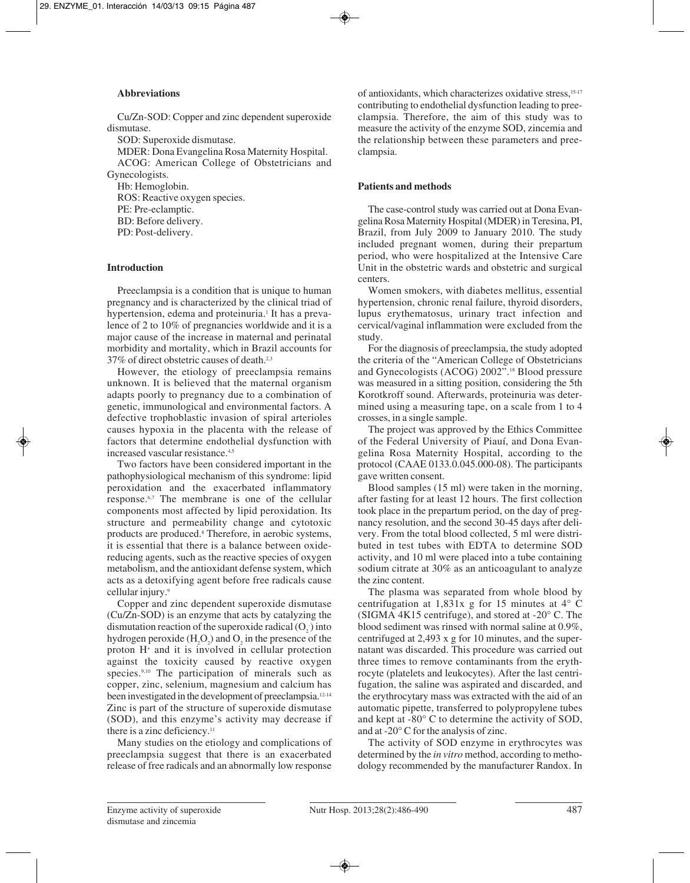## **Abbreviations**

Cu/Zn-SOD: Copper and zinc dependent superoxide dismutase.

SOD: Superoxide dismutase.

MDER: Dona Evangelina Rosa Maternity Hospital. ACOG: American College of Obstetricians and Gynecologists.

Hb: Hemoglobin.

ROS: Reactive oxygen species. PE: Pre-eclamptic. BD: Before delivery. PD: Post-delivery.

## **Introduction**

Preeclampsia is a condition that is unique to human pregnancy and is characterized by the clinical triad of hypertension, edema and proteinuria.<sup>1</sup> It has a prevalence of 2 to 10% of pregnancies worldwide and it is a major cause of the increase in maternal and perinatal morbidity and mortality, which in Brazil accounts for 37% of direct obstetric causes of death.2,3

However, the etiology of preeclampsia remains unknown. It is believed that the maternal organism adapts poorly to pregnancy due to a combination of genetic, immunological and environmental factors. A defective trophoblastic invasion of spiral arterioles causes hypoxia in the placenta with the release of factors that determine endothelial dysfunction with increased vascular resistance.4,5

Two factors have been considered important in the pathophysiological mechanism of this syndrome: lipid peroxidation and the exacerbated inflammatory response.6,7 The membrane is one of the cellular components most affected by lipid peroxidation. Its structure and permeability change and cytotoxic products are produced.8 Therefore, in aerobic systems, it is essential that there is a balance between oxidereducing agents, such as the reactive species of oxygen metabolism, and the antioxidant defense system, which acts as a detoxifying agent before free radicals cause cellular injury.9

Copper and zinc dependent superoxide dismutase (Cu/Zn-SOD) is an enzyme that acts by catalyzing the dismutation reaction of the superoxide radical  $(O_2)$  into hydrogen peroxide  $(H_2O_2)$  and  $O_2$  in the presence of the proton H+ and it is involved in cellular protection against the toxicity caused by reactive oxygen species.<sup>9,10</sup> The participation of minerals such as copper, zinc, selenium, magnesium and calcium has been investigated in the development of preeclampsia.12-14 Zinc is part of the structure of superoxide dismutase (SOD), and this enzyme's activity may decrease if there is a zinc deficiency.<sup>11</sup>

Many studies on the etiology and complications of preeclampsia suggest that there is an exacerbated release of free radicals and an abnormally low response

of antioxidants, which characterizes oxidative stress,15-17 contributing to endothelial dysfunction leading to preeclampsia. Therefore, the aim of this study was to measure the activity of the enzyme SOD, zincemia and the relationship between these parameters and preeclampsia.

## **Patients and methods**

The case-control study was carried out at Dona Evangelina Rosa Maternity Hospital (MDER) in Teresina, PI, Brazil, from July 2009 to January 2010. The study included pregnant women, during their prepartum period, who were hospitalized at the Intensive Care Unit in the obstetric wards and obstetric and surgical centers.

Women smokers, with diabetes mellitus, essential hypertension, chronic renal failure, thyroid disorders, lupus erythematosus, urinary tract infection and cervical/vaginal inflammation were excluded from the study.

For the diagnosis of preeclampsia, the study adopted the criteria of the "American College of Obstetricians and Gynecologists (ACOG) 2002".18 Blood pressure was measured in a sitting position, considering the 5th Korotkroff sound. Afterwards, proteinuria was determined using a measuring tape, on a scale from 1 to 4 crosses, in a single sample.

The project was approved by the Ethics Committee of the Federal University of Piauí, and Dona Evangelina Rosa Maternity Hospital, according to the protocol (CAAE 0133.0.045.000-08). The participants gave written consent.

Blood samples (15 ml) were taken in the morning, after fasting for at least 12 hours. The first collection took place in the prepartum period, on the day of pregnancy resolution, and the second 30-45 days after delivery. From the total blood collected, 5 ml were distributed in test tubes with EDTA to determine SOD activity, and 10 ml were placed into a tube containing sodium citrate at 30% as an anticoagulant to analyze the zinc content.

The plasma was separated from whole blood by centrifugation at 1,831x g for 15 minutes at 4° C (SIGMA 4K15 centrifuge), and stored at -20° C. The blood sediment was rinsed with normal saline at 0.9%, centrifuged at 2,493 x g for 10 minutes, and the supernatant was discarded. This procedure was carried out three times to remove contaminants from the erythrocyte (platelets and leukocytes). After the last centrifugation, the saline was aspirated and discarded, and the erythrocytary mass was extracted with the aid of an automatic pipette, transferred to polypropylene tubes and kept at -80° C to determine the activity of SOD, and at -20° C for the analysis of zinc.

The activity of SOD enzyme in erythrocytes was determined by the *in vitro* method, according to methodology recommended by the manufacturer Randox. In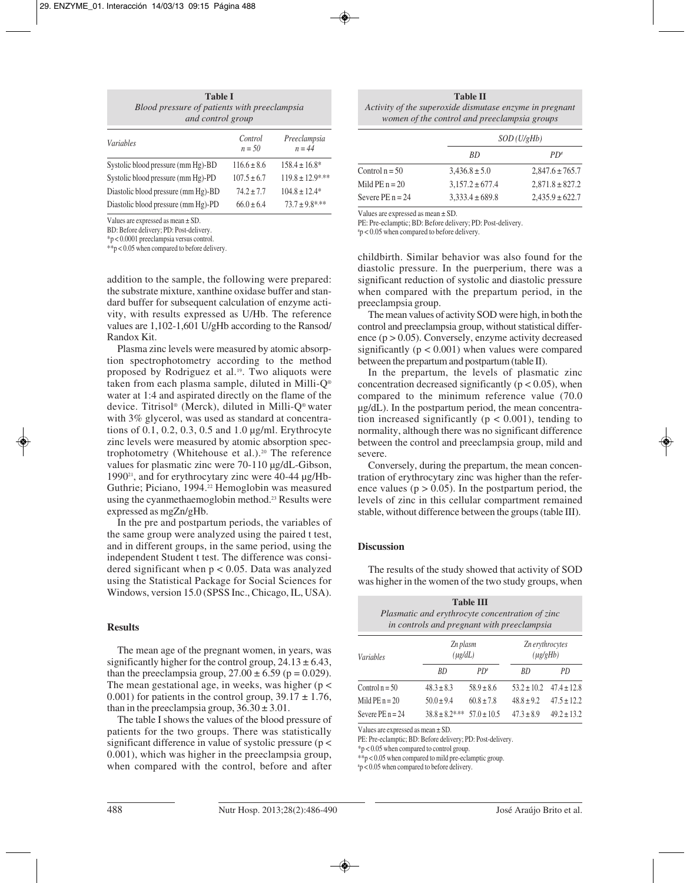| <b>Table I</b>                               |  |  |  |
|----------------------------------------------|--|--|--|
| Blood pressure of patients with preeclampsia |  |  |  |
| and control group                            |  |  |  |

| Variables                           | Control<br>$n = 50$ | Preeclampsia<br>$n = 44$ |
|-------------------------------------|---------------------|--------------------------|
| Systolic blood pressure (mm Hg)-BD  | $116.6 \pm 8.6$     | $158.4 \pm 16.8^*$       |
| Systolic blood pressure (mm Hg)-PD  | $107.5 \pm 6.7$     | $119.8 \pm 12.9$ ***     |
| Diastolic blood pressure (mm Hg)-BD | $74.2 + 7.7$        | $104.8 \pm 12.4*$        |
| Diastolic blood pressure (mm Hg)-PD | $66.0 \pm 6.4$      | $73.7 \pm 9.8$ ***       |

Values are expressed as mean ± SD.

BD: Before delivery; PD: Post-delivery.

\*p < 0.0001 preeclampsia versus control.

\*\*p < 0.05 when compared to before delivery.

addition to the sample, the following were prepared: the substrate mixture, xanthine oxidase buffer and standard buffer for subsequent calculation of enzyme activity, with results expressed as U/Hb. The reference values are 1,102-1,601 U/gHb according to the Ransod/ Randox Kit.

Plasma zinc levels were measured by atomic absorption spectrophotometry according to the method proposed by Rodriguez et al.19. Two aliquots were taken from each plasma sample, diluted in Milli-Q® water at 1:4 and aspirated directly on the flame of the device. Titrisol® (Merck), diluted in Milli-Q® water with 3% glycerol, was used as standard at concentrations of 0.1, 0.2, 0.3, 0.5 and 1.0 µg/ml. Erythrocyte zinc levels were measured by atomic absorption spectrophotometry (Whitehouse et al.).20 The reference values for plasmatic zinc were 70-110 µg/dL-Gibson, 1990<sup>21</sup>, and for erythrocytary zinc were  $40-44 \mu$ g/Hb-Guthrie; Piciano, 1994.<sup>22</sup> Hemoglobin was measured using the cyanmethaemoglobin method.<sup>23</sup> Results were expressed as mgZn/gHb.

In the pre and postpartum periods, the variables of the same group were analyzed using the paired t test, and in different groups, in the same period, using the independent Student t test. The difference was considered significant when  $p < 0.05$ . Data was analyzed using the Statistical Package for Social Sciences for Windows, version 15.0 (SPSS Inc., Chicago, IL, USA).

## **Results**

The mean age of the pregnant women, in years, was significantly higher for the control group,  $24.13 \pm 6.43$ , than the preeclampsia group,  $27.00 \pm 6.59$  (p = 0.029). The mean gestational age, in weeks, was higher ( $p <$ 0.001) for patients in the control group,  $39.17 \pm 1.76$ , than in the preeclampsia group,  $36.30 \pm 3.01$ .

The table I shows the values of the blood pressure of patients for the two groups. There was statistically significant difference in value of systolic pressure ( $p$  < 0.001), which was higher in the preeclampsia group, when compared with the control, before and after

| <b>Table II</b>                                         |
|---------------------------------------------------------|
| Activity of the superoxide dismutase enzyme in pregnant |
| women of the control and preeclampsia groups            |

|                    |                     | SOD(U/gHb)          |  |  |
|--------------------|---------------------|---------------------|--|--|
|                    | <i>RD</i>           | $PD^*$              |  |  |
| Control $n = 50$   | $3,436.8 \pm 5.0$   | $2,847.6 \pm 765.7$ |  |  |
| Mild $PE n = 20$   | $3,157.2 \pm 677.4$ | $2,871.8 \pm 827.2$ |  |  |
| Severe $PE n = 24$ | $3,333.4 \pm 689.8$ | $2,435.9 \pm 622.7$ |  |  |

Values are expressed as mean ± SD.

PE: Pre-eclamptic; BD: Before delivery; PD: Post-delivery.

# p < 0.05 when compared to before delivery.

childbirth. Similar behavior was also found for the diastolic pressure. In the puerperium, there was a significant reduction of systolic and diastolic pressure when compared with the prepartum period, in the preeclampsia group.

The mean values of activity SOD were high, in both the control and preeclampsia group, without statistical difference  $(p > 0.05)$ . Conversely, enzyme activity decreased significantly  $(p < 0.001)$  when values were compared between the prepartum and postpartum (table II).

In the prepartum, the levels of plasmatic zinc concentration decreased significantly ( $p < 0.05$ ), when compared to the minimum reference value (70.0 µg/dL). In the postpartum period, the mean concentration increased significantly ( $p < 0.001$ ), tending to normality, although there was no significant difference between the control and preeclampsia group, mild and severe.

Conversely, during the prepartum, the mean concentration of erythrocytary zinc was higher than the reference values ( $p > 0.05$ ). In the postpartum period, the levels of zinc in this cellular compartment remained stable, without difference between the groups (table III).

## **Discussion**

The results of the study showed that activity of SOD was higher in the women of the two study groups, when

| <b>Table III</b><br>Plasmatic and erythrocyte concentration of zinc<br>in controls and pregnant with preeclampsia |                    |                          |                 |                                  |  |  |  |
|-------------------------------------------------------------------------------------------------------------------|--------------------|--------------------------|-----------------|----------------------------------|--|--|--|
| <b>Variables</b>                                                                                                  |                    | Zn plasm<br>$(\mu$ g/dL) |                 | Zn erythrocytes<br>$(\mu$ g/gHb) |  |  |  |
|                                                                                                                   | RD                 | $PD^*$                   | RD              | PD.                              |  |  |  |
| Control $n = 50$                                                                                                  | $48.3 \pm 8.3$     | $58.9 \pm 8.6$           | $53.2 \pm 10.2$ | $47.4 \pm 12.8$                  |  |  |  |
| Mild $PE n = 20$                                                                                                  | $50.0 \pm 9.4$     | $60.8 \pm 7.8$           | $48.8 \pm 9.2$  | $47.5 \pm 12.2$                  |  |  |  |
| Severe $PE n = 24$                                                                                                | $38.8 \pm 8.2$ *** | $57.0 \pm 10.5$          | $47.3 \pm 8.9$  | $49.2 \pm 13.2$                  |  |  |  |

Values are expressed as mean ± SD.

PE: Pre-eclamptic; BD: Before delivery; PD: Post-delivery.

\*p < 0.05 when compared to control group.

\*\*p < 0.05 when compared to mild pre-eclamptic group.

# p < 0.05 when compared to before delivery.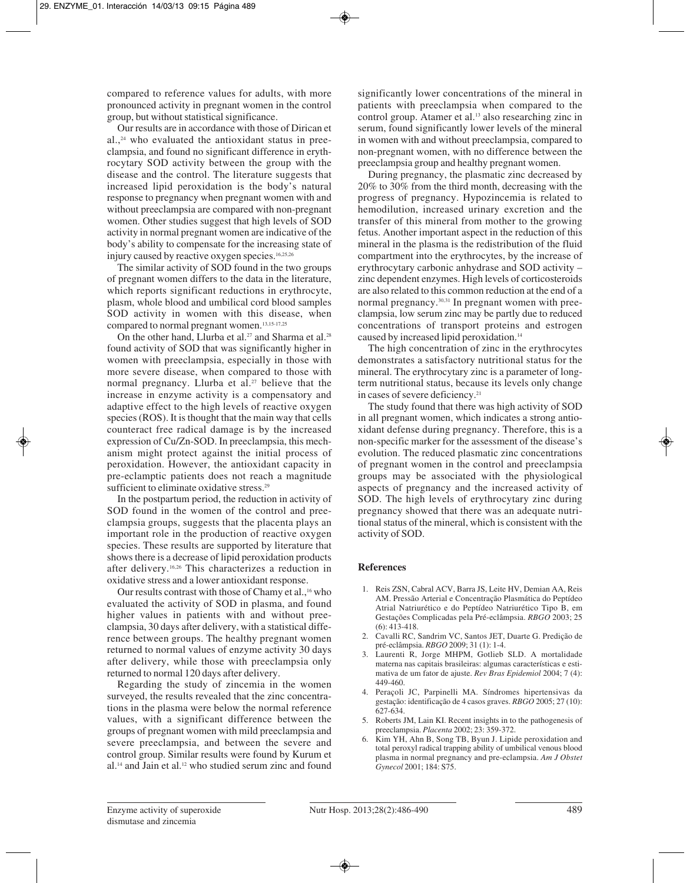compared to reference values for adults, with more pronounced activity in pregnant women in the control group, but without statistical significance.

Our results are in accordance with those of Dirican et  $al.$ <sup>24</sup> who evaluated the antioxidant status in preeclampsia, and found no significant difference in erythrocytary SOD activity between the group with the disease and the control. The literature suggests that increased lipid peroxidation is the body's natural response to pregnancy when pregnant women with and without preeclampsia are compared with non-pregnant women. Other studies suggest that high levels of SOD activity in normal pregnant women are indicative of the body's ability to compensate for the increasing state of injury caused by reactive oxygen species.16,25,26

The similar activity of SOD found in the two groups of pregnant women differs to the data in the literature, which reports significant reductions in erythrocyte, plasm, whole blood and umbilical cord blood samples SOD activity in women with this disease, when compared to normal pregnant women.<sup>13,15-17,25</sup>

On the other hand, Llurba et al.<sup>27</sup> and Sharma et al.<sup>28</sup> found activity of SOD that was significantly higher in women with preeclampsia, especially in those with more severe disease, when compared to those with normal pregnancy. Llurba et al.<sup>27</sup> believe that the increase in enzyme activity is a compensatory and adaptive effect to the high levels of reactive oxygen species (ROS). It is thought that the main way that cells counteract free radical damage is by the increased expression of Cu/Zn-SOD. In preeclampsia, this mechanism might protect against the initial process of peroxidation. However, the antioxidant capacity in pre-eclamptic patients does not reach a magnitude sufficient to eliminate oxidative stress.<sup>29</sup>

In the postpartum period, the reduction in activity of SOD found in the women of the control and preeclampsia groups, suggests that the placenta plays an important role in the production of reactive oxygen species. These results are supported by literature that shows there is a decrease of lipid peroxidation products after delivery.16,26 This characterizes a reduction in oxidative stress and a lower antioxidant response.

Our results contrast with those of Chamy et al.,<sup>16</sup> who evaluated the activity of SOD in plasma, and found higher values in patients with and without preeclampsia, 30 days after delivery, with a statistical difference between groups. The healthy pregnant women returned to normal values of enzyme activity 30 days after delivery, while those with preeclampsia only returned to normal 120 days after delivery.

Regarding the study of zincemia in the women surveyed, the results revealed that the zinc concentrations in the plasma were below the normal reference values, with a significant difference between the groups of pregnant women with mild preeclampsia and severe preeclampsia, and between the severe and control group. Similar results were found by Kurum et al.14 and Jain et al.12 who studied serum zinc and found

significantly lower concentrations of the mineral in patients with preeclampsia when compared to the control group. Atamer et al.13 also researching zinc in serum, found significantly lower levels of the mineral in women with and without preeclampsia, compared to non-pregnant women, with no difference between the preeclampsia group and healthy pregnant women.

During pregnancy, the plasmatic zinc decreased by 20% to 30% from the third month, decreasing with the progress of pregnancy. Hypozincemia is related to hemodilution, increased urinary excretion and the transfer of this mineral from mother to the growing fetus. Another important aspect in the reduction of this mineral in the plasma is the redistribution of the fluid compartment into the erythrocytes, by the increase of erythrocytary carbonic anhydrase and SOD activity – zinc dependent enzymes. High levels of corticosteroids are also related to this common reduction at the end of a normal pregnancy.30,31 In pregnant women with preeclampsia, low serum zinc may be partly due to reduced concentrations of transport proteins and estrogen caused by increased lipid peroxidation.14

The high concentration of zinc in the erythrocytes demonstrates a satisfactory nutritional status for the mineral. The erythrocytary zinc is a parameter of longterm nutritional status, because its levels only change in cases of severe deficiency.21

The study found that there was high activity of SOD in all pregnant women, which indicates a strong antioxidant defense during pregnancy. Therefore, this is a non-specific marker for the assessment of the disease's evolution. The reduced plasmatic zinc concentrations of pregnant women in the control and preeclampsia groups may be associated with the physiological aspects of pregnancy and the increased activity of SOD. The high levels of erythrocytary zinc during pregnancy showed that there was an adequate nutritional status of the mineral, which is consistent with the activity of SOD.

## **References**

- 1. Reis ZSN, Cabral ACV, Barra JS, Leite HV, Demian AA, Reis AM. Pressão Arterial e Concentração Plasmática do Peptídeo Atrial Natriurético e do Peptídeo Natriurético Tipo B, em Gestações Complicadas pela Pré-eclâmpsia. *RBGO* 2003; 25 (6): 413-418.
- 2. Cavalli RC, Sandrim VC, Santos JET, Duarte G. Predição de pré-eclâmpsia. *RBGO* 2009; 31 (1): 1-4.
- Laurenti R, Jorge MHPM, Gotlieb SLD. A mortalidade materna nas capitais brasileiras: algumas características e estimativa de um fator de ajuste. *Rev Bras Epidemiol* 2004; 7 (4): 449-460.
- 4. Peraçoli JC, Parpinelli MA. Síndromes hipertensivas da gestação: identificação de 4 casos graves. *RBGO* 2005; 27 (10): 627-634.
- 5. Roberts JM, Lain KI. Recent insights in to the pathogenesis of preeclampsia. *Placenta* 2002; 23: 359-372.
- 6. Kim YH, Ahn B, Song TB, Byun J. Lipide peroxidation and total peroxyl radical trapping ability of umbilical venous blood plasma in normal pregnancy and pre-eclampsia. *Am J Obstet Gynecol* 2001; 184: S75.